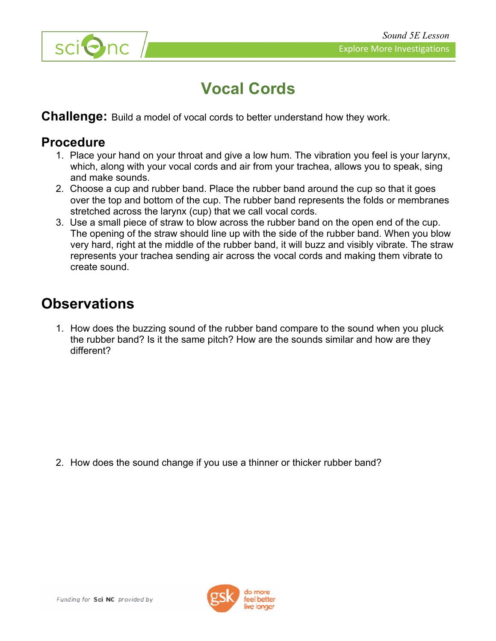



# **Vocal Cords**

**Challenge:** Build a model of vocal cords to better understand how they work.

#### **Procedure**

- 1. Place your hand on your throat and give a low hum. The vibration you feel is your larynx, which, along with your vocal cords and air from your trachea, allows you to speak, sing and make sounds.
- 2. Choose a cup and rubber band. Place the rubber band around the cup so that it goes over the top and bottom of the cup. The rubber band represents the folds or membranes stretched across the larynx (cup) that we call vocal cords.
- 3. Use a small piece of straw to blow across the rubber band on the open end of the cup. The opening of the straw should line up with the side of the rubber band. When you blow very hard, right at the middle of the rubber band, it will buzz and visibly vibrate. The straw represents your trachea sending air across the vocal cords and making them vibrate to create sound.

## **Observations**

1. How does the buzzing sound of the rubber band compare to the sound when you pluck the rubber band? Is it the same pitch? How are the sounds similar and how are they different?

2. How does the sound change if you use a thinner or thicker rubber band?

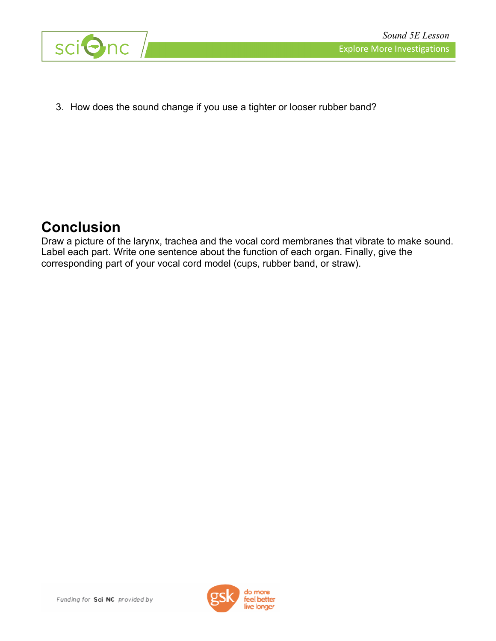

3. How does the sound change if you use a tighter or looser rubber band?

## **Conclusion**

Draw a picture of the larynx, trachea and the vocal cord membranes that vibrate to make sound. Label each part. Write one sentence about the function of each organ. Finally, give the corresponding part of your vocal cord model (cups, rubber band, or straw).



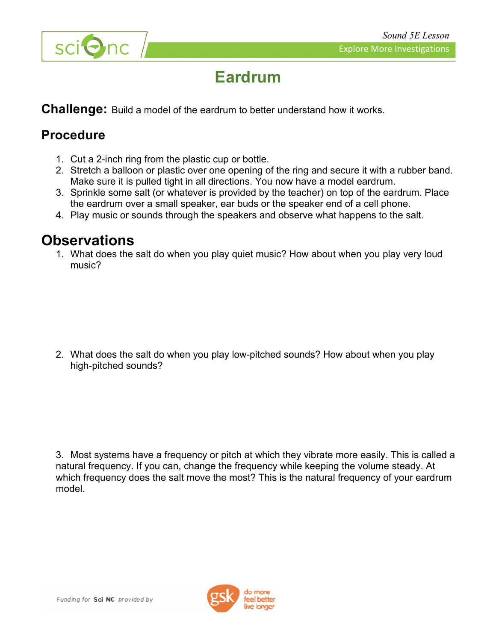

# **Eardrum**

**Challenge:** Build a model of the eardrum to better understand how it works.

#### **Procedure**

- 1. Cut a 2-inch ring from the plastic cup or bottle.
- 2. Stretch a balloon or plastic over one opening of the ring and secure it with a rubber band. Make sure it is pulled tight in all directions. You now have a model eardrum.
- 3. Sprinkle some salt (or whatever is provided by the teacher) on top of the eardrum. Place the eardrum over a small speaker, ear buds or the speaker end of a cell phone.
- 4. Play music or sounds through the speakers and observe what happens to the salt.

### **Observations**

1. What does the salt do when you play quiet music? How about when you play very loud music?

2. What does the salt do when you play low-pitched sounds? How about when you play high-pitched sounds?

3. Most systems have a frequency or pitch at which they vibrate more easily. This is called a natural frequency. If you can, change the frequency while keeping the volume steady. At which frequency does the salt move the most? This is the natural frequency of your eardrum model.